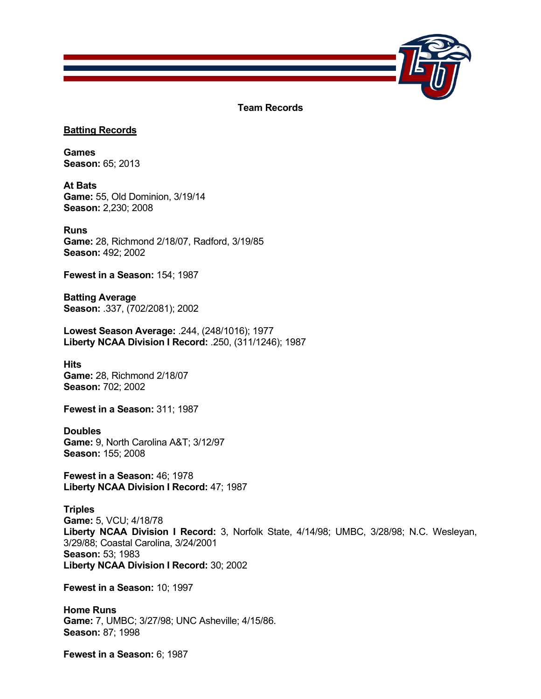

**Team Records**

## **Batting Records**

**Games Season:** 65; 2013

**At Bats Game:** 55, Old Dominion, 3/19/14 **Season:** 2,230; 2008

**Runs Game:** 28, Richmond 2/18/07, Radford, 3/19/85 **Season:** 492; 2002

**Fewest in a Season:** 154; 1987

**Batting Average Season:** .337, (702/2081); 2002

**Lowest Season Average:** .244, (248/1016); 1977 **Liberty NCAA Division I Record:** .250, (311/1246); 1987

**Hits Game:** 28, Richmond 2/18/07 **Season:** 702; 2002

**Fewest in a Season:** 311; 1987

## **Doubles Game:** 9, North Carolina A&T; 3/12/97 **Season:** 155; 2008

**Fewest in a Season:** 46; 1978 **Liberty NCAA Division I Record:** 47; 1987

**Triples Game:** 5, VCU; 4/18/78 **Liberty NCAA Division I Record:** 3, Norfolk State, 4/14/98; UMBC, 3/28/98; N.C. Wesleyan, 3/29/88; Coastal Carolina, 3/24/2001 **Season:** 53; 1983 **Liberty NCAA Division I Record:** 30; 2002

**Fewest in a Season:** 10; 1997

**Home Runs Game:** 7, UMBC; 3/27/98; UNC Asheville; 4/15/86. **Season:** 87; 1998

**Fewest in a Season:** 6; 1987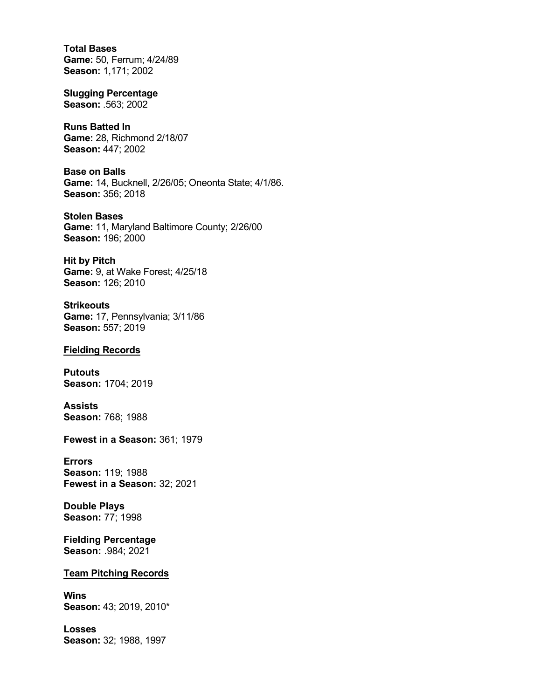**Total Bases Game:** 50, Ferrum; 4/24/89 **Season:** 1,171; 2002

**Slugging Percentage Season:** .563; 2002

**Runs Batted In Game:** 28, Richmond 2/18/07 **Season:** 447; 2002

**Base on Balls Game:** 14, Bucknell, 2/26/05; Oneonta State; 4/1/86. **Season:** 356; 2018

**Stolen Bases Game:** 11, Maryland Baltimore County; 2/26/00 **Season:** 196; 2000

**Hit by Pitch Game:** 9, at Wake Forest; 4/25/18 **Season:** 126; 2010

**Strikeouts Game:** 17, Pennsylvania; 3/11/86 **Season:** 557; 2019

## **Fielding Records**

**Putouts Season:** 1704; 2019

**Assists Season:** 768; 1988

**Fewest in a Season:** 361; 1979

**Errors Season:** 119; 1988 **Fewest in a Season:** 32; 2021

**Double Plays Season:** 77; 1998

**Fielding Percentage Season:** .984; 2021

## **Team Pitching Records**

**Wins Season:** 43; 2019, 2010\*

**Losses Season:** 32; 1988, 1997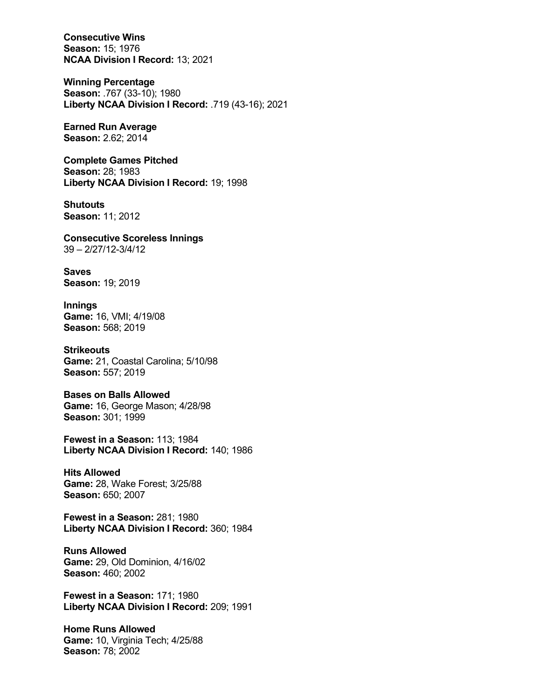**Consecutive Wins Season:** 15; 1976 **NCAA Division I Record:** 13; 2021

**Winning Percentage Season:** .767 (33-10); 1980 **Liberty NCAA Division I Record:** .719 (43-16); 2021

**Earned Run Average Season:** 2.62; 2014

**Complete Games Pitched Season:** 28; 1983 **Liberty NCAA Division I Record:** 19; 1998

**Shutouts Season:** 11; 2012

**Consecutive Scoreless Innings** 39 – 2/27/12-3/4/12

**Saves Season:** 19; 2019

**Innings Game:** 16, VMI; 4/19/08 **Season:** 568; 2019

**Strikeouts Game:** 21, Coastal Carolina; 5/10/98 **Season:** 557; 2019

**Bases on Balls Allowed Game:** 16, George Mason; 4/28/98 **Season:** 301; 1999

**Fewest in a Season:** 113; 1984 **Liberty NCAA Division I Record:** 140; 1986

**Hits Allowed Game:** 28, Wake Forest; 3/25/88 **Season:** 650; 2007

**Fewest in a Season:** 281; 1980 **Liberty NCAA Division I Record:** 360; 1984

**Runs Allowed Game:** 29, Old Dominion, 4/16/02 **Season:** 460; 2002

**Fewest in a Season:** 171; 1980 **Liberty NCAA Division I Record:** 209; 1991

**Home Runs Allowed Game:** 10, Virginia Tech; 4/25/88 **Season:** 78; 2002